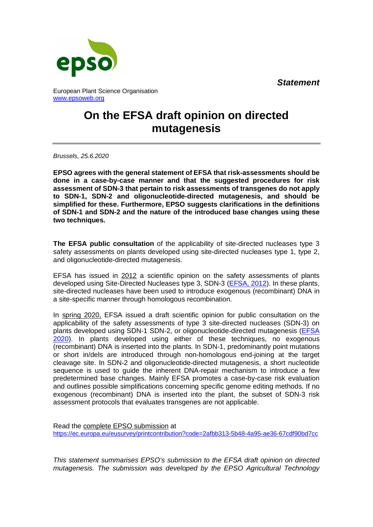*Statement*



European Plant Science Organisation [www.epsoweb.org](http://www.epsoweb.org/)

## **On the EFSA draft opinion on directed mutagenesis**

*Brussels, 25.6.2020*

**EPSO agrees with the general statement of EFSA that risk-assessments should be done in a case-by-case manner and that the suggested procedures for risk assessment of SDN-3 that pertain to risk assessments of transgenes do not apply to SDN-1, SDN-2 and oligonucleotide-directed mutagenesis, and should be simplified for these. Furthermore, EPSO suggests clarifications in the definitions of SDN-1 and SDN-2 and the nature of the introduced base changes using these two techniques.**

**The EFSA public consultation** of the applicability of site-directed nucleases type 3 safety assessments on plants developed using site-directed nucleases type 1, type 2, and oligonucleotide-directed mutagenesis.

EFSA has issued in 2012 a scientific opinion on the safety assessments of plants developed using Site-Directed Nucleases type 3, SDN-3 [\(EFSA, 2012\)](https://efsa.onlinelibrary.wiley.com/doi/abs/10.2903/j.efsa.2012.2943). In these plants, site-directed nucleases have been used to introduce exogenous (recombinant) DNA in a site-specific manner through homologous recombination.

In spring 2020, EFSA issued a draft scientific opinion for public consultation on the applicability of the safety assessments of type 3 site-directed nucleases (SDN-3) on plants developed using SDN-1 SDN-2, or oligonucleotide-directed mutagenesis [\(EFSA](http://www.efsa.europa.eu/sites/default/files/consultation/consultation/Scientific_opinion_SDN1_2_ODM_for_PC.pdf)  [2020\)](http://www.efsa.europa.eu/sites/default/files/consultation/consultation/Scientific_opinion_SDN1_2_ODM_for_PC.pdf). In plants developed using either of these techniques, no exogenous (recombinant) DNA is inserted into the plants. In SDN-1, predominantly point mutations or short in/dels are introduced through non-homologous end-joining at the target cleavage site. In SDN-2 and oligonucleotide-directed mutagenesis, a short nucleotide sequence is used to guide the inherent DNA-repair mechanism to introduce a few predetermined base changes. Mainly EFSA promotes a case-by-case risk evaluation and outlines possible simplifications concerning specific genome editing methods. If no exogenous (recombinant) DNA is inserted into the plant, the subset of SDN-3 risk assessment protocols that evaluates transgenes are not applicable.

Read the complete EPSO submission at <https://ec.europa.eu/eusurvey/printcontribution?code=2afbb313-5b48-4a95-ae36-67cdf90bd7cc>

*This statement summarises EPSO's submission to the EFSA draft opinion on directed mutagenesis. The submission was developed by the EPSO Agricultural Technology*